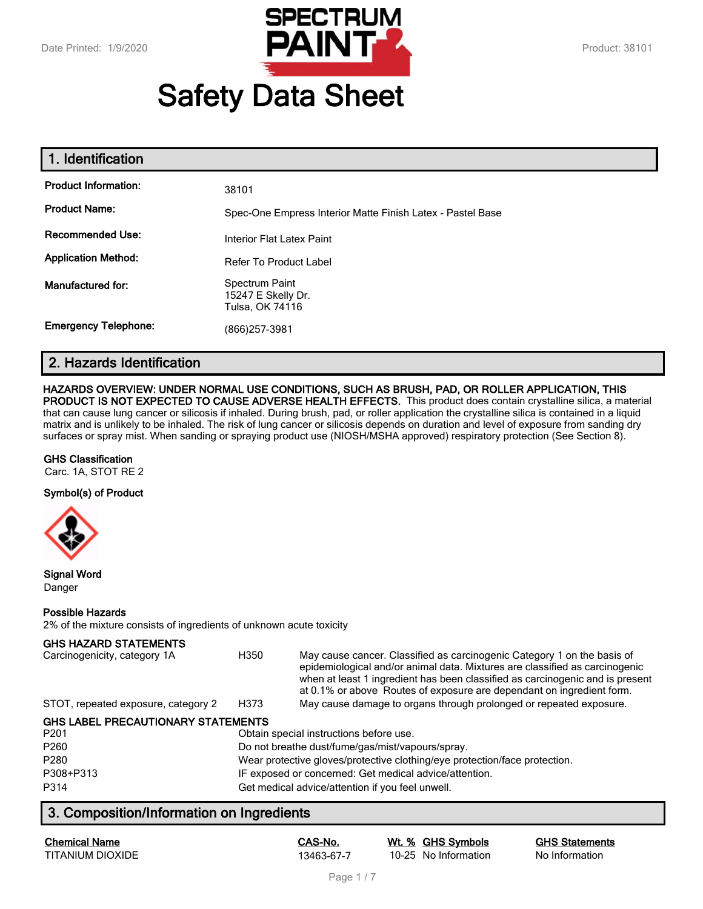

# **Safety Data Sheet**

| 1. Identification           |                                                            |
|-----------------------------|------------------------------------------------------------|
| <b>Product Information:</b> | 38101                                                      |
| <b>Product Name:</b>        | Spec-One Empress Interior Matte Finish Latex - Pastel Base |
| <b>Recommended Use:</b>     | Interior Flat Latex Paint                                  |
| <b>Application Method:</b>  | <b>Refer To Product Label</b>                              |
| Manufactured for:           | Spectrum Paint<br>15247 E Skelly Dr.<br>Tulsa, OK 74116    |
| <b>Emergency Telephone:</b> | (866)257-3981                                              |

# **2. Hazards Identification**

## **HAZARDS OVERVIEW: UNDER NORMAL USE CONDITIONS, SUCH AS BRUSH, PAD, OR ROLLER APPLICATION, THIS**

**PRODUCT IS NOT EXPECTED TO CAUSE ADVERSE HEALTH EFFECTS.** This product does contain crystalline silica, a material that can cause lung cancer or silicosis if inhaled. During brush, pad, or roller application the crystalline silica is contained in a liquid matrix and is unlikely to be inhaled. The risk of lung cancer or silicosis depends on duration and level of exposure from sanding dry surfaces or spray mist. When sanding or spraying product use (NIOSH/MSHA approved) respiratory protection (See Section 8).

#### **GHS Classification**

Carc. 1A, STOT RE 2

#### **Symbol(s) of Product**



**Signal Word** Danger

#### **Possible Hazards**

2% of the mixture consists of ingredients of unknown acute toxicity

#### **GHS HAZARD STATEMENTS**

| Carcinogenicity, category 1A        | H350 | May cause cancer. Classified as carcinogenic Category 1 on the basis of<br>epidemiological and/or animal data. Mixtures are classified as carcinogenic<br>when at least 1 ingredient has been classified as carcinogenic and is present<br>at 0.1% or above Routes of exposure are dependant on ingredient form. |
|-------------------------------------|------|------------------------------------------------------------------------------------------------------------------------------------------------------------------------------------------------------------------------------------------------------------------------------------------------------------------|
| STOT, repeated exposure, category 2 | H373 | May cause damage to organs through prolonged or repeated exposure.                                                                                                                                                                                                                                               |

#### **GHS LABEL PRECAUTIONARY STATEMENTS**

| P <sub>201</sub> | Obtain special instructions before use.                                    |
|------------------|----------------------------------------------------------------------------|
| P <sub>260</sub> | Do not breathe dust/fume/gas/mist/vapours/spray.                           |
| P <sub>280</sub> | Wear protective gloves/protective clothing/eye protection/face protection. |
| P308+P313        | IF exposed or concerned: Get medical advice/attention.                     |
| P314             | Get medical advice/attention if you feel unwell.                           |

# **3. Composition/Information on Ingredients**

| <b>Chemical Name</b> |  |
|----------------------|--|
| TITANIUM DIOXIDE     |  |

**Chemical Name CAS-No. Wt. % GHS Symbols GHS Statements** 13463-67-7 10-25 No Information No Information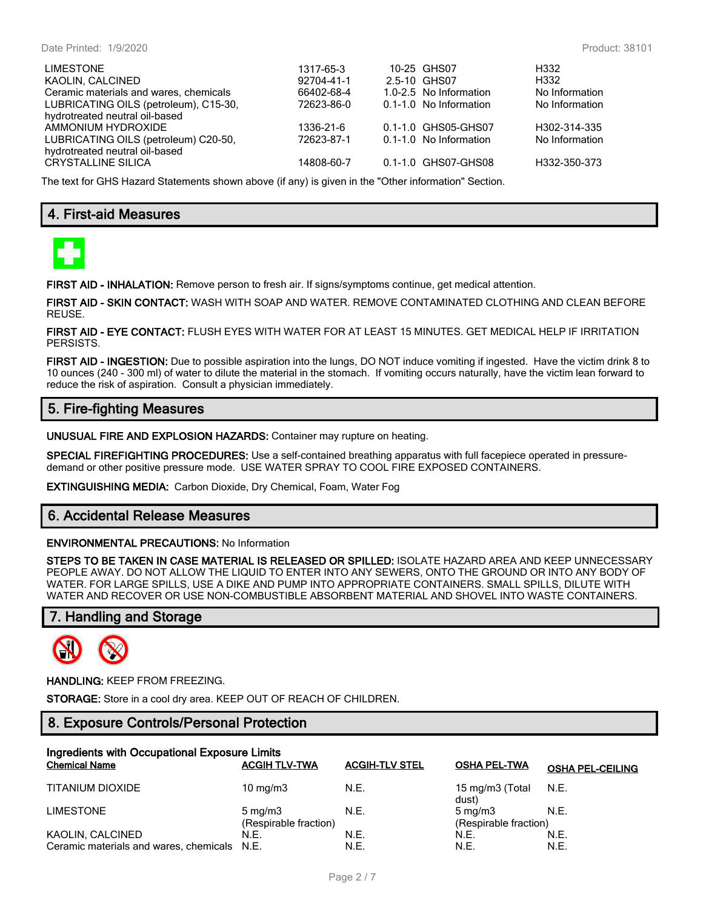| <b>LIMESTONE</b><br>KAOLIN, CALCINED<br>Ceramic materials and wares, chemicals<br>LUBRICATING OILS (petroleum), C15-30,<br>hydrotreated neutral oil-based | 1317-65-3<br>92704-41-1<br>66402-68-4<br>72623-86-0 | 10-25 GHS07<br>2.5-10 GHS07<br>1.0-2.5 No Information<br>0.1-1.0 No Information | H332<br>H332<br>No Information<br>No Information |
|-----------------------------------------------------------------------------------------------------------------------------------------------------------|-----------------------------------------------------|---------------------------------------------------------------------------------|--------------------------------------------------|
| AMMONIUM HYDROXIDE<br>LUBRICATING OILS (petroleum) C20-50,<br>hydrotreated neutral oil-based<br><b>CRYSTALLINE SILICA</b>                                 | 1336-21-6<br>72623-87-1<br>14808-60-7               | 0.1-1.0 GHS05-GHS07<br>0.1-1.0 No Information<br>0.1-1.0 GHS07-GHS08            | H302-314-335<br>No Information<br>H332-350-373   |

The text for GHS Hazard Statements shown above (if any) is given in the "Other information" Section.

# **4. First-aid Measures**



**FIRST AID - INHALATION:** Remove person to fresh air. If signs/symptoms continue, get medical attention.

**FIRST AID - SKIN CONTACT:** WASH WITH SOAP AND WATER. REMOVE CONTAMINATED CLOTHING AND CLEAN BEFORE REUSE.

**FIRST AID - EYE CONTACT:** FLUSH EYES WITH WATER FOR AT LEAST 15 MINUTES. GET MEDICAL HELP IF IRRITATION PERSISTS.

**FIRST AID - INGESTION:** Due to possible aspiration into the lungs, DO NOT induce vomiting if ingested. Have the victim drink 8 to 10 ounces (240 - 300 ml) of water to dilute the material in the stomach. If vomiting occurs naturally, have the victim lean forward to reduce the risk of aspiration. Consult a physician immediately.

# **5. Fire-fighting Measures**

**UNUSUAL FIRE AND EXPLOSION HAZARDS:** Container may rupture on heating.

**SPECIAL FIREFIGHTING PROCEDURES:** Use a self-contained breathing apparatus with full facepiece operated in pressuredemand or other positive pressure mode. USE WATER SPRAY TO COOL FIRE EXPOSED CONTAINERS.

**EXTINGUISHING MEDIA:** Carbon Dioxide, Dry Chemical, Foam, Water Fog

# **6. Accidental Release Measures**

#### **ENVIRONMENTAL PRECAUTIONS:** No Information

**STEPS TO BE TAKEN IN CASE MATERIAL IS RELEASED OR SPILLED:** ISOLATE HAZARD AREA AND KEEP UNNECESSARY PEOPLE AWAY. DO NOT ALLOW THE LIQUID TO ENTER INTO ANY SEWERS, ONTO THE GROUND OR INTO ANY BODY OF WATER. FOR LARGE SPILLS, USE A DIKE AND PUMP INTO APPROPRIATE CONTAINERS. SMALL SPILLS, DILUTE WITH WATER AND RECOVER OR USE NON-COMBUSTIBLE ABSORBENT MATERIAL AND SHOVEL INTO WASTE CONTAINERS.

# **7. Handling and Storage**



#### **HANDLING:** KEEP FROM FREEZING.

**STORAGE:** Store in a cool dry area. KEEP OUT OF REACH OF CHILDREN.

# **8. Exposure Controls/Personal Protection**

| Ingredients with Occupational Exposure Limits<br><b>Chemical Name</b> | <b>ACGIH TLV-TWA</b>                      | <b>ACGIH-TLV STEL</b> | <b>OSHA PEL-TWA</b>                         | <b>OSHA PEL-CEILING</b> |
|-----------------------------------------------------------------------|-------------------------------------------|-----------------------|---------------------------------------------|-------------------------|
| TITANIUM DIOXIDE                                                      | 10 $mq/m3$                                | N.E.                  | 15 mg/m3 (Total N.E.<br>dust)               |                         |
| <b>LIMESTONE</b>                                                      | $5 \text{ mg/m}$<br>(Respirable fraction) | N.E.                  | $5 \text{ ma/m}$ 3<br>(Respirable fraction) | N.E.                    |
| KAOLIN, CALCINED                                                      | N.E.                                      | N.E.                  | N.E.                                        | N.E.                    |
| Ceramic materials and wares, chemicals N.E.                           |                                           | N.E.                  | N.E.                                        | N.E.                    |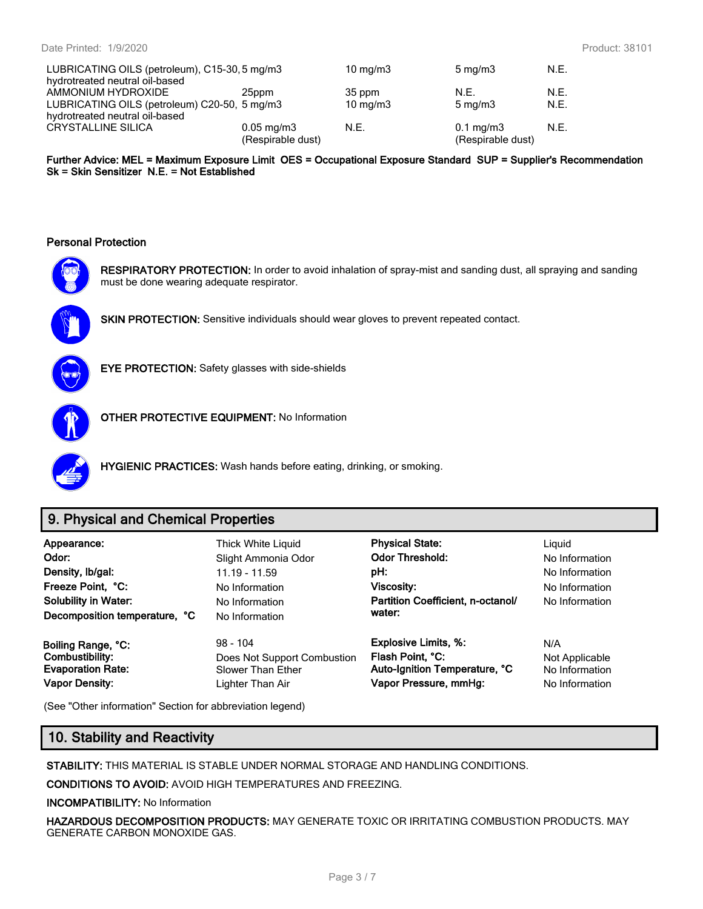| LUBRICATING OILS (petroleum), C15-30, 5 mg/m3        |                         | $10 \text{ mg/m}$ | $5 \text{ mg/m}$   | N.E. |
|------------------------------------------------------|-------------------------|-------------------|--------------------|------|
| hydrotreated neutral oil-based<br>AMMONIUM HYDROXIDE | 25ppm                   | 35 ppm            | N.E.               | N.E. |
| LUBRICATING OILS (petroleum) C20-50, 5 mg/m3         |                         | $10 \text{ mg/m}$ | $5 \text{ mg/m}$   | N.E. |
| hydrotreated neutral oil-based                       |                         |                   |                    |      |
| <b>CRYSTALLINE SILICA</b>                            | $0.05 \,\mathrm{mg/m3}$ | N.E.              | $0.1 \text{ mg/m}$ | N.E. |
|                                                      | (Respirable dust)       |                   | (Respirable dust)  |      |

**Further Advice: MEL = Maximum Exposure Limit OES = Occupational Exposure Standard SUP = Supplier's Recommendation Sk = Skin Sensitizer N.E. = Not Established**

#### **Personal Protection**



**RESPIRATORY PROTECTION:** In order to avoid inhalation of spray-mist and sanding dust, all spraying and sanding must be done wearing adequate respirator.



**SKIN PROTECTION:** Sensitive individuals should wear gloves to prevent repeated contact.



**EYE PROTECTION:** Safety glasses with side-shields



**OTHER PROTECTIVE EQUIPMENT:** No Information



**HYGIENIC PRACTICES:** Wash hands before eating, drinking, or smoking.

# **9. Physical and Chemical Properties**

| Appearance:<br>Odor:<br>Density, Ib/gal:<br>Freeze Point, °C:<br><b>Solubility in Water:</b><br>Decomposition temperature, °C | Thick White Liquid<br>Slight Ammonia Odor<br>$11.19 - 11.59$<br>No Information<br>No Information<br>No Information | <b>Physical State:</b><br><b>Odor Threshold:</b><br>pH:<br>Viscosity:<br>Partition Coefficient, n-octanol/<br>water: | Liguid<br>No Information<br>No Information<br>No Information<br>No Information |
|-------------------------------------------------------------------------------------------------------------------------------|--------------------------------------------------------------------------------------------------------------------|----------------------------------------------------------------------------------------------------------------------|--------------------------------------------------------------------------------|
| Boiling Range, °C:                                                                                                            | $98 - 104$                                                                                                         | <b>Explosive Limits, %:</b>                                                                                          | N/A                                                                            |
| <b>Combustibility:</b>                                                                                                        | Does Not Support Combustion                                                                                        | Flash Point, °C:                                                                                                     | Not Applicable                                                                 |
| <b>Evaporation Rate:</b>                                                                                                      | Slower Than Ether                                                                                                  | Auto-Ignition Temperature, °C                                                                                        | No Information                                                                 |
| <b>Vapor Density:</b>                                                                                                         | Lighter Than Air                                                                                                   | Vapor Pressure, mmHg:                                                                                                | No Information                                                                 |

(See "Other information" Section for abbreviation legend)

# **10. Stability and Reactivity**

**STABILITY:** THIS MATERIAL IS STABLE UNDER NORMAL STORAGE AND HANDLING CONDITIONS.

**CONDITIONS TO AVOID:** AVOID HIGH TEMPERATURES AND FREEZING.

**INCOMPATIBILITY:** No Information

**HAZARDOUS DECOMPOSITION PRODUCTS:** MAY GENERATE TOXIC OR IRRITATING COMBUSTION PRODUCTS. MAY GENERATE CARBON MONOXIDE GAS.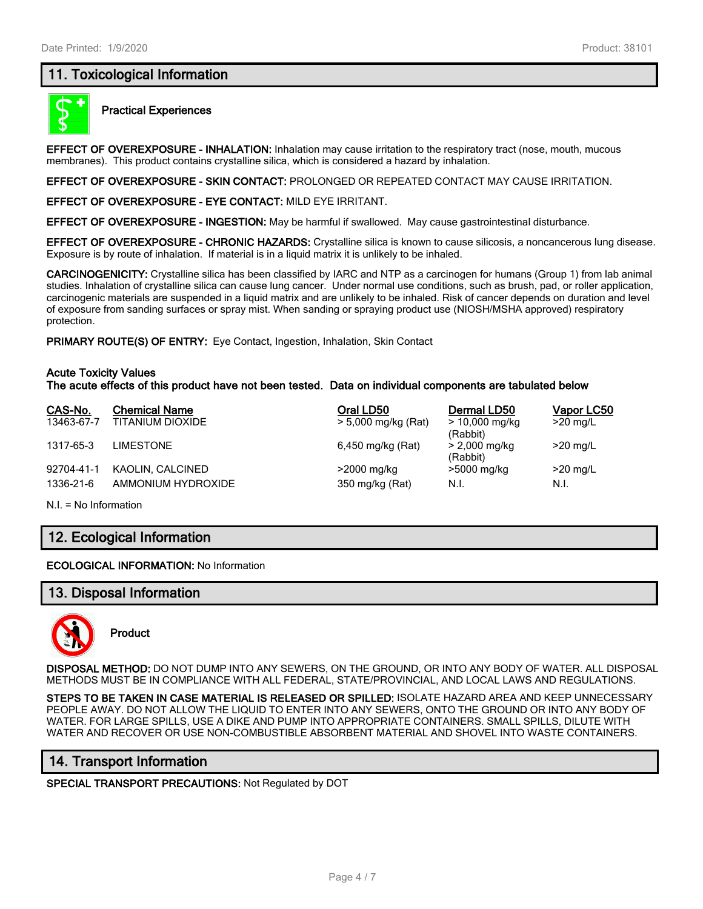# **11. Toxicological Information**



#### **Practical Experiences**

**EFFECT OF OVEREXPOSURE - INHALATION:** Inhalation may cause irritation to the respiratory tract (nose, mouth, mucous membranes). This product contains crystalline silica, which is considered a hazard by inhalation.

**EFFECT OF OVEREXPOSURE - SKIN CONTACT:** PROLONGED OR REPEATED CONTACT MAY CAUSE IRRITATION.

**EFFECT OF OVEREXPOSURE - EYE CONTACT:** MILD EYE IRRITANT.

**EFFECT OF OVEREXPOSURE - INGESTION:** May be harmful if swallowed. May cause gastrointestinal disturbance.

**EFFECT OF OVEREXPOSURE - CHRONIC HAZARDS:** Crystalline silica is known to cause silicosis, a noncancerous lung disease. Exposure is by route of inhalation. If material is in a liquid matrix it is unlikely to be inhaled.

**CARCINOGENICITY:** Crystalline silica has been classified by IARC and NTP as a carcinogen for humans (Group 1) from lab animal studies. Inhalation of crystalline silica can cause lung cancer. Under normal use conditions, such as brush, pad, or roller application, carcinogenic materials are suspended in a liquid matrix and are unlikely to be inhaled. Risk of cancer depends on duration and level of exposure from sanding surfaces or spray mist. When sanding or spraying product use (NIOSH/MSHA approved) respiratory protection.

**PRIMARY ROUTE(S) OF ENTRY:** Eye Contact, Ingestion, Inhalation, Skin Contact

#### **Acute Toxicity Values**

**The acute effects of this product have not been tested. Data on individual components are tabulated below**

| CAS-No.    | <b>Chemical Name</b> | Oral LD50           | Dermal LD50                  | Vapor LC50 |
|------------|----------------------|---------------------|------------------------------|------------|
| 13463-67-7 | TITANIUM DIOXIDE     | > 5,000 mg/kg (Rat) | $> 10,000$ mg/kg<br>(Rabbit) | $>20$ mg/L |
| 1317-65-3  | <b>LIMESTONE</b>     | 6,450 mg/kg (Rat)   | > 2,000 mg/kg<br>(Rabbit)    | $>20$ mg/L |
| 92704-41-1 | KAOLIN, CALCINED     | >2000 mg/kg         | >5000 mg/kg                  | $>20$ mg/L |
| 1336-21-6  | AMMONIUM HYDROXIDE   | 350 mg/kg (Rat)     | N.I.                         | N.I.       |

N.I. = No Information

# **12. Ecological Information**

**ECOLOGICAL INFORMATION:** No Information

## **13. Disposal Information**



**Product**

**DISPOSAL METHOD:** DO NOT DUMP INTO ANY SEWERS, ON THE GROUND, OR INTO ANY BODY OF WATER. ALL DISPOSAL METHODS MUST BE IN COMPLIANCE WITH ALL FEDERAL, STATE/PROVINCIAL, AND LOCAL LAWS AND REGULATIONS.

**STEPS TO BE TAKEN IN CASE MATERIAL IS RELEASED OR SPILLED:** ISOLATE HAZARD AREA AND KEEP UNNECESSARY PEOPLE AWAY. DO NOT ALLOW THE LIQUID TO ENTER INTO ANY SEWERS, ONTO THE GROUND OR INTO ANY BODY OF WATER. FOR LARGE SPILLS, USE A DIKE AND PUMP INTO APPROPRIATE CONTAINERS. SMALL SPILLS, DILUTE WITH WATER AND RECOVER OR USE NON-COMBUSTIBLE ABSORBENT MATERIAL AND SHOVEL INTO WASTE CONTAINERS.

## **14. Transport Information**

**SPECIAL TRANSPORT PRECAUTIONS:** Not Regulated by DOT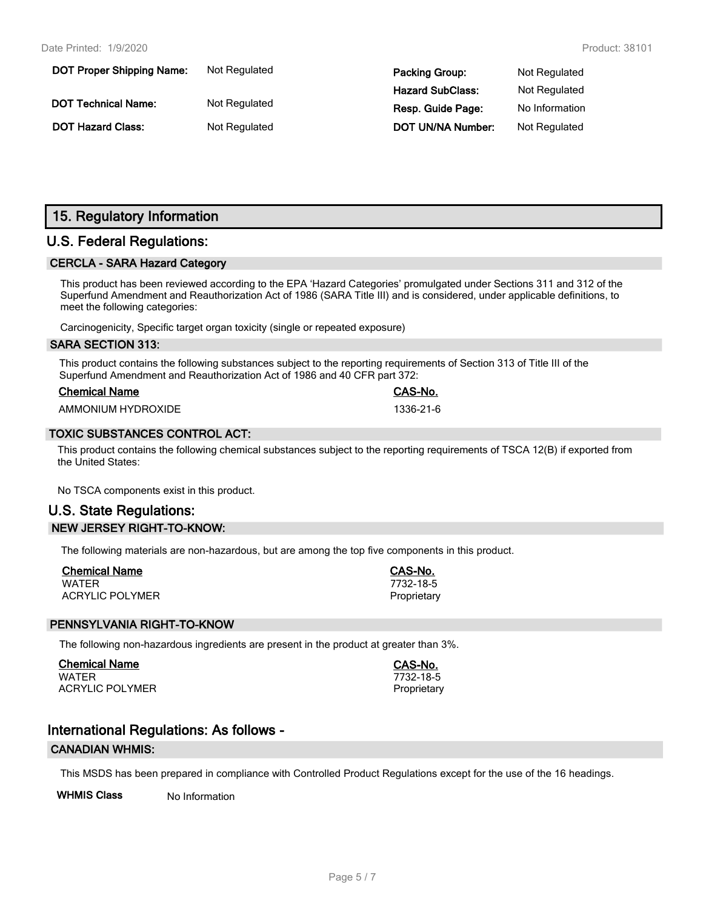| <b>DOT Proper Shipping Name:</b> | Not Regulated | <b>Packing Group:</b>   | Not Regulated  |
|----------------------------------|---------------|-------------------------|----------------|
|                                  |               | <b>Hazard SubClass:</b> | Not Regulated  |
| <b>DOT Technical Name:</b>       | Not Regulated | Resp. Guide Page:       | No Information |
| <b>DOT Hazard Class:</b>         | Not Regulated | DOT UN/NA Number:       | Not Regulated  |

# **15. Regulatory Information**

# **U.S. Federal Regulations:**

#### **CERCLA - SARA Hazard Category**

This product has been reviewed according to the EPA 'Hazard Categories' promulgated under Sections 311 and 312 of the Superfund Amendment and Reauthorization Act of 1986 (SARA Title III) and is considered, under applicable definitions, to meet the following categories:

Carcinogenicity, Specific target organ toxicity (single or repeated exposure)

#### **SARA SECTION 313:**

This product contains the following substances subject to the reporting requirements of Section 313 of Title III of the Superfund Amendment and Reauthorization Act of 1986 and 40 CFR part 372:

| <b>Chemical Name</b> |  |
|----------------------|--|
|                      |  |

AMMONIUM HYDROXIDE 1336-21-6

#### **TOXIC SUBSTANCES CONTROL ACT:**

This product contains the following chemical substances subject to the reporting requirements of TSCA 12(B) if exported from the United States:

No TSCA components exist in this product.

# **U.S. State Regulations: NEW JERSEY RIGHT-TO-KNOW:**

The following materials are non-hazardous, but are among the top five components in this product.

| <b>Chemical Name</b>   | CAS-No.     |
|------------------------|-------------|
| WATER                  | 7732-18-5   |
| <b>ACRYLIC POLYMER</b> | Proprietary |

## **PENNSYLVANIA RIGHT-TO-KNOW**

The following non-hazardous ingredients are present in the product at greater than 3%.

**Chemical Name CAS-No.** WATER 7732-18-5 ACRYLIC POLYMER **Proprietary** Proprietary

**Chemical Name CAS-No.**

# **International Regulations: As follows -**

#### **CANADIAN WHMIS:**

This MSDS has been prepared in compliance with Controlled Product Regulations except for the use of the 16 headings.

**WHMIS Class** No Information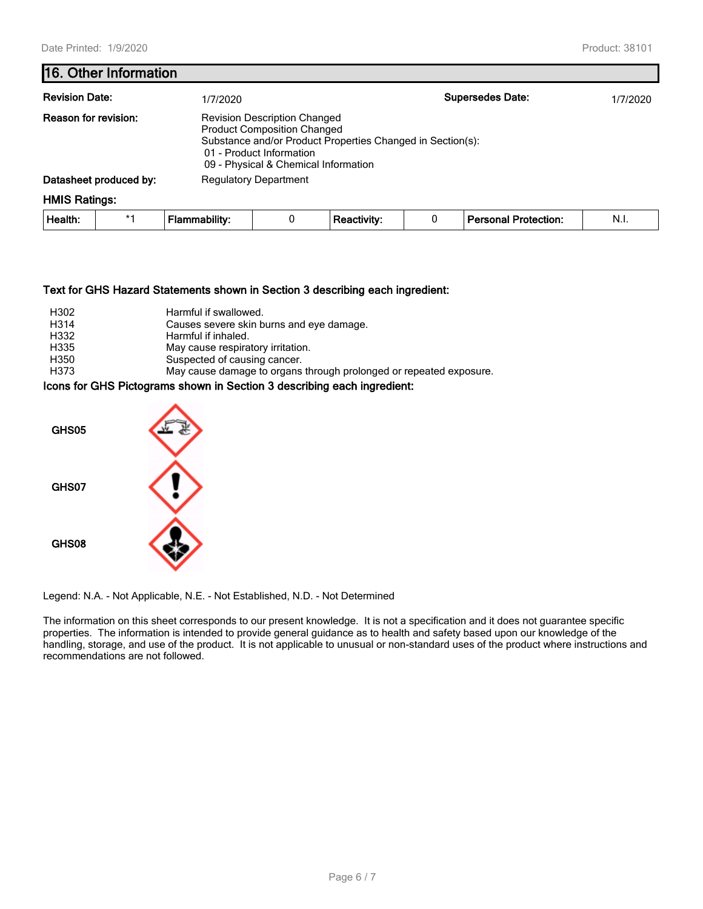## **16. Other Information**

| <b>Revision Date:</b>       |      | 1/7/2020                     |                                                                                                                                                                                                             |                    |  | <b>Supersedes Date:</b>     | 1/7/2020 |  |
|-----------------------------|------|------------------------------|-------------------------------------------------------------------------------------------------------------------------------------------------------------------------------------------------------------|--------------------|--|-----------------------------|----------|--|
| <b>Reason for revision:</b> |      |                              | <b>Revision Description Changed</b><br><b>Product Composition Changed</b><br>Substance and/or Product Properties Changed in Section(s):<br>01 - Product Information<br>09 - Physical & Chemical Information |                    |  |                             |          |  |
| Datasheet produced by:      |      | <b>Regulatory Department</b> |                                                                                                                                                                                                             |                    |  |                             |          |  |
| <b>HMIS Ratings:</b>        |      |                              |                                                                                                                                                                                                             |                    |  |                             |          |  |
| Health:                     | $*1$ | <b>Flammability:</b>         | 0                                                                                                                                                                                                           | <b>Reactivity:</b> |  | <b>Personal Protection:</b> | N.I.     |  |

#### **Text for GHS Hazard Statements shown in Section 3 describing each ingredient:**

| H302              | Harmful if swallowed.                                              |
|-------------------|--------------------------------------------------------------------|
| H <sub>3</sub> 14 | Causes severe skin burns and eye damage.                           |
| H332              | Harmful if inhaled.                                                |
| H335              | May cause respiratory irritation.                                  |
| H350              | Suspected of causing cancer.                                       |
| H373              | May cause damage to organs through prolonged or repeated exposure. |

## **Icons for GHS Pictograms shown in Section 3 describing each ingredient:**



Legend: N.A. - Not Applicable, N.E. - Not Established, N.D. - Not Determined

The information on this sheet corresponds to our present knowledge. It is not a specification and it does not guarantee specific properties. The information is intended to provide general guidance as to health and safety based upon our knowledge of the handling, storage, and use of the product. It is not applicable to unusual or non-standard uses of the product where instructions and recommendations are not followed.